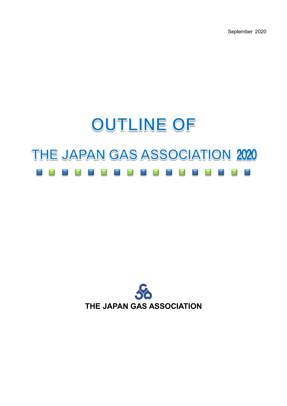September 2020

# **OUTLINE OF** THE JAPAN GAS ASSOCIATION 2020

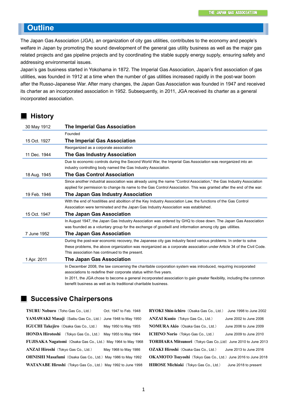## **Outline**

The Japan Gas Association (JGA), an organization of city gas utilities, contributes to the economy and people's welfare in Japan by promoting the sound development of the general gas utility business as well as the major gas related projects and gas pipeline projects and by coordinating the stable supply energy supply, ensuring safety and addressing environmental issues.

Japan's gas business started in Yokohama in 1872. The Imperial Gas Association, Japan's first association of gas utilities, was founded in 1912 at a time when the number of gas utilities increased rapidly in the post-war boom after the Russo-Japanese War. After many changes, the Japan Gas Association was founded in 1947 and received its charter as an incorporated association in 1952. Subsequently, in 2011, JGA received its charter as a general incorporated association.

#### **History**

| 30 May 1912  | <b>The Imperial Gas Association</b>                                                                                   |  |  |
|--------------|-----------------------------------------------------------------------------------------------------------------------|--|--|
|              | Founded                                                                                                               |  |  |
| 15 Oct. 1927 | <b>The Imperial Gas Association</b>                                                                                   |  |  |
|              | Reorganized as a corporate association                                                                                |  |  |
| 11 Dec. 1944 | The Gas Industry Association                                                                                          |  |  |
|              | Due to economic controls during the Second World War, the Imperial Gas Association was reorganized into an            |  |  |
|              | industry controlling body named the Gas Industry Association.                                                         |  |  |
| 18 Aug. 1945 | <b>The Gas Control Association</b>                                                                                    |  |  |
|              | Since another industrial association was already using the name "Control Association," the Gas Industry Association   |  |  |
|              | applied for permission to change its name to the Gas Control Association. This was granted after the end of the war.  |  |  |
| 19 Feb. 1946 | The Japan Gas Industry Association                                                                                    |  |  |
|              | With the end of hostilities and abolition of the Key Industry Association Law, the functions of the Gas Control       |  |  |
|              | Association were terminated and the Japan Gas Industry Association was established.                                   |  |  |
| 15 Oct. 1947 | <b>The Japan Gas Association</b>                                                                                      |  |  |
|              | In August 1947, the Japan Gas Industry Association was ordered by GHQ to close down. The Japan Gas Association        |  |  |
|              | was founded as a voluntary group for the exchange of goodwill and information among city gas utilities.               |  |  |
| 7 June 1952  | <b>The Japan Gas Association</b>                                                                                      |  |  |
|              | During the post-war economic recovery, the Japanese city gas industry faced various problems. In order to solve       |  |  |
|              | these problems, the above organization was reorganized as a corporate association under Article 34 of the Civil Code. |  |  |
|              | This association has continued to the present.                                                                        |  |  |
| 1 Apr. 2011  | <b>The Japan Gas Association</b>                                                                                      |  |  |
|              | In December 2008, the law concerning the charitable corporation system was introduced, requiring incorporated         |  |  |
|              | associations to redefine their corporate status within five years.                                                    |  |  |
|              | In 2011, the JGA chose to become a general incorporated association to gain greater flexibility, including the common |  |  |
|              | benefit business as well as its traditional charitable business.                                                      |  |  |

### **Successive Chairpersons**

**TSURU Noburo**(Toho Gas Co., Ltd.) Oct. 1947 to Feb. 1948 YAMAWAKI Masaji (Saibu Gas Co., Ltd.) June 1948 to May 1950 **IGUCHI Takejiro** (Osaka Gas Co., Ltd.) May 1950 to May 1955 **HONDA Hirotoshi** (Tokyo Gas Co., Ltd.) May 1955 to May 1964 FUJISAKA Nagatomi (Osaka Gas Co., Ltd.) May 1964 to May 1968 **ANZAI Hiroshi**(Tokyo Gas Co., Ltd.) May 1968 to May 1986 **OHNISHI Masafumi** (Osaka Gas Co., Ltd.) May 1986 to May 1992 WATANABE Hiroshi (Tokyo Gas Co., Ltd.) May 1992 to June 1998 **RYOKI Shin-ichiro**(Osaka Gas Co., Ltd.) June 1998 to June 2002 **ANZAI Kunio**(Tokyo Gas Co., Ltd.) June 2002 to June 2006 **NOMURA Akio**(Osaka Gas Co., Ltd.) June 2006 to June 2009 **ICHINO Norio**(Tokyo Gas Co., Ltd.) June 2009 to June 2010 **TORIHARA Mitsunori** (Tokyo Gas Co.,Ltd) June 2010 to June 2013 **OZAKI Hiroshi**(Osaka Gas Co., Ltd.) June 2013 to June 2016 OKAMOTO Tsuyoshi (Tokyo Gas Co., Ltd.) June 2016 to June 2018 **HIROSE Michiaki**(Tokyo Gas Co., Ltd.) June 2018 to present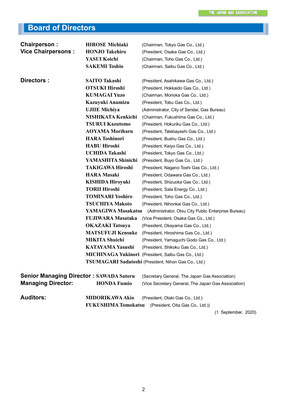# **Board of Directors**

| Chairperson:                                   | <b>HIROSE Michiaki</b>   | (Chairman, Tokyo Gas Co., Ltd.)                            |
|------------------------------------------------|--------------------------|------------------------------------------------------------|
| <b>Vice Chairpersons:</b>                      | <b>HONJO Takehiro</b>    | (President, Osaka Gas Co., Ltd.)                           |
|                                                | YASUI Koichi             | (Chairman, Toho Gas Co., Ltd.)                             |
|                                                | <b>SAKEMI Toshio</b>     | (Chairman, Saibu Gas Co., Ltd.)                            |
|                                                |                          |                                                            |
| Directors:                                     | <b>SAITO Takashi</b>     | (President, Asahikawa Gas Co., Ltd.)                       |
|                                                | <b>OTSUKI Hiroshi</b>    | (President, Hokkaido Gas Co., Ltd.)                        |
|                                                | <b>KUMAGAI Yuzo</b>      | (Chairman, Morioka Gas Co., Ltd.)                          |
|                                                | Kazuyuki Anamizu         | (President, Tobu Gas Co., Ltd.)                            |
|                                                | <b>UJIIE Michiya</b>     | (Administrator, City of Sendai, Gas Bureau)                |
|                                                | NISHIKATA Kenkichi       | (Chairman, Fukushima Gas Co., Ltd.)                        |
|                                                | <b>TSURUI Kazutomo</b>   | (President, Hokuriku Gas Co., Ltd.)                        |
|                                                | <b>AOYAMA Moriharu</b>   | (President, Tatebayashi Gas Co., Ltd.)                     |
|                                                | <b>HARA Toshinori</b>    | (President, Bushu Gas Co., Ltd.)                           |
|                                                | <b>HABU Hiroshi</b>      | (President, Keiyo Gas Co., Ltd.)                           |
|                                                | <b>UCHIDA Takashi</b>    | (President, Tokyo Gas Co., Ltd.)                           |
|                                                | YAMASHITA Shinichi       | (President, Buyo Gas Co., Ltd.)                            |
|                                                | <b>TAKIGAWA Hiroshi</b>  | (President, Nagano Toshi Gas Co., Ltd.)                    |
|                                                | <b>HARA Masaki</b>       | (President, Odawara Gas Co., Ltd.)                         |
|                                                | <b>KISHIDA Hiroyuki</b>  | (President, Shizuoka Gas Co., Ltd.)                        |
|                                                | <b>TORII Hiroshi</b>     | (President, Sala Energy Co., Ltd.)                         |
|                                                | <b>TOMINARI Yoshiro</b>  | (President, Toho Gas Co., Ltd.)                            |
|                                                | <b>TSUCHIYA Makoto</b>   | (President, Nihonkai Gas Co., Ltd.)                        |
|                                                | YAMAGIWA Masakatsu       | (Administrator, Otsu City Public Enterprise Bureau)        |
|                                                | <b>FUJIWARA Masataka</b> | (Vice President, Osaka Gas Co., Ltd.)                      |
|                                                | <b>OKAZAKI</b> Tatsuya   | (President, Okayama Gas Co., Ltd.)                         |
|                                                | <b>MATSUFUJI Kensuke</b> | (President, Hiroshima Gas Co., Ltd.)                       |
|                                                | <b>MIKITA Shuichi</b>    | (President, Yamaguchi Godo Gas Co., Ltd.)                  |
|                                                | <b>KATAYAMA Yasushi</b>  | (President, Shikoku Gas Co., Ltd.)                         |
|                                                |                          | <b>MICHINAGA Yukinori</b> (President, Saibu Gas Co., Ltd.) |
|                                                |                          | TSUMAGARI Sadatoshi (President, Nihon Gas Co., Ltd.)       |
|                                                |                          |                                                            |
| <b>Senior Managing Director: SAWADA Satoru</b> |                          | (Secretary General, The Japan Gas Association)             |
| <b>Managing Director:</b>                      | <b>HONDA Fumio</b>       | (Vice Secretary General, The Japan Gas Association)        |
| <b>Auditors:</b>                               | <b>MIDORIKAWA Akio</b>   | (President, Otaki Gas Co., Ltd.)                           |
|                                                |                          | FUKUSHIMA Tomokatsu (President, Oita Gas Co., Ltd.))       |
|                                                |                          | (1 September, 2020)                                        |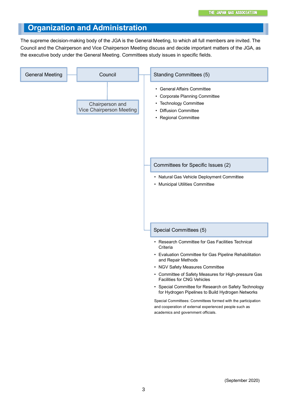## **Organization and Administration**

The supreme decision-making body of the JGA is the General Meeting, to which all full members are invited. The Council and the Chairperson and Vice Chairperson Meeting discuss and decide important matters of the JGA, as the executive body under the General Meeting. Committees study issues in specific fields.

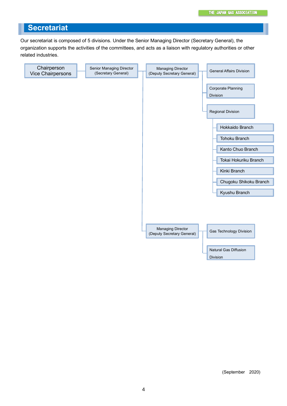## **Secretariat**

Our secretariat is composed of 5 divisions. Under the Senior Managing Director (Secretary General), the organization supports the activities of the committees, and acts as a liaison with regulatory authorities or other related industries.